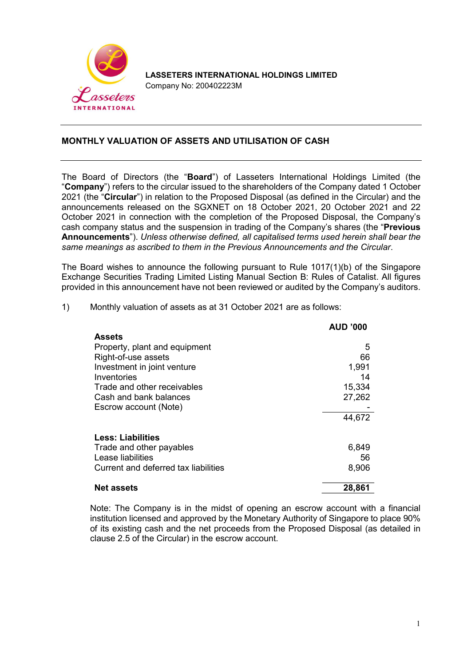

LASSETERS INTERNATIONAL HOLDINGS LIMITED Company No: 200402223M

## MONTHLY VALUATION OF ASSETS AND UTILISATION OF CASH

The Board of Directors (the "Board") of Lasseters International Holdings Limited (the "Company") refers to the circular issued to the shareholders of the Company dated 1 October 2021 (the "Circular") in relation to the Proposed Disposal (as defined in the Circular) and the announcements released on the SGXNET on 18 October 2021, 20 October 2021 and 22 October 2021 in connection with the completion of the Proposed Disposal, the Company's cash company status and the suspension in trading of the Company's shares (the "Previous Announcements"). Unless otherwise defined, all capitalised terms used herein shall bear the same meanings as ascribed to them in the Previous Announcements and the Circular.

The Board wishes to announce the following pursuant to Rule 1017(1)(b) of the Singapore Exchange Securities Trading Limited Listing Manual Section B: Rules of Catalist. All figures provided in this announcement have not been reviewed or audited by the Company's auditors.

|                                                                                                                                                                                                       | <b>AUD '000</b>                                      |
|-------------------------------------------------------------------------------------------------------------------------------------------------------------------------------------------------------|------------------------------------------------------|
| <b>Assets</b><br>Property, plant and equipment<br>Right-of-use assets<br>Investment in joint venture<br>Inventories<br>Trade and other receivables<br>Cash and bank balances<br>Escrow account (Note) | 5<br>66<br>1,991<br>14<br>15,334<br>27,262<br>44,672 |
| <b>Less: Liabilities</b><br>Trade and other payables<br>Lease liabilities<br>Current and deferred tax liabilities                                                                                     | 6,849<br>56<br>8,906                                 |
| <b>Net assets</b>                                                                                                                                                                                     | 28,861                                               |

1) Monthly valuation of assets as at 31 October 2021 are as follows:

Note: The Company is in the midst of opening an escrow account with a financial institution licensed and approved by the Monetary Authority of Singapore to place 90% of its existing cash and the net proceeds from the Proposed Disposal (as detailed in clause 2.5 of the Circular) in the escrow account.